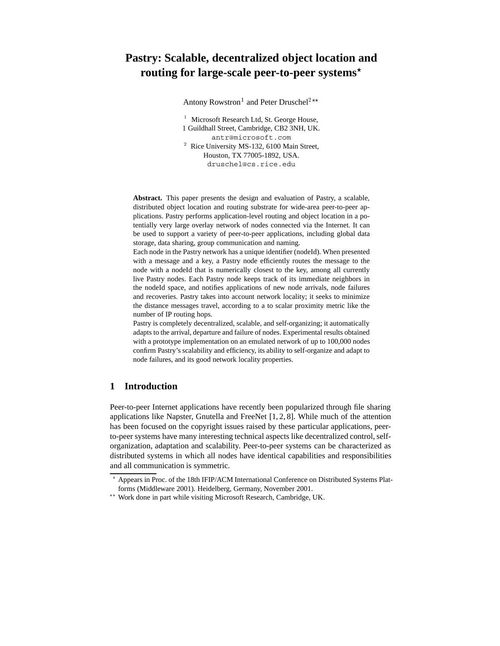# **Pastry: Scalable, decentralized object location and routing for large-scale peer-to-peer systems**?

Antony Rowstron<sup>1</sup> and Peter Druschel<sup>2\*\*</sup>

<sup>1</sup> Microsoft Research Ltd, St. George House, 1 Guildhall Street, Cambridge, CB2 3NH, UK. antr@microsoft.com <sup>2</sup> Rice University MS-132, 6100 Main Street, Houston, TX 77005-1892, USA. druschel@cs.rice.edu

**Abstract.** This paper presents the design and evaluation of Pastry, a scalable, distributed object location and routing substrate for wide-area peer-to-peer applications. Pastry performs application-level routing and object location in a potentially very large overlay network of nodes connected via the Internet. It can be used to support a variety of peer-to-peer applications, including global data storage, data sharing, group communication and naming.

Each node in the Pastry network has a unique identifier (nodeId). When presented with a message and a key, a Pastry node efficiently routes the message to the node with a nodeId that is numerically closest to the key, among all currently live Pastry nodes. Each Pastry node keeps track of its immediate neighbors in the nodeId space, and notifies applications of new node arrivals, node failures and recoveries. Pastry takes into account network locality; it seeks to minimize the distance messages travel, according to a to scalar proximity metric like the number of IP routing hops.

Pastry is completely decentralized, scalable, and self-organizing; it automatically adapts to the arrival, departure and failure of nodes. Experimental results obtained with a prototype implementation on an emulated network of up to 100,000 nodes confirm Pastry's scalability and efficiency, its ability to self-organize and adapt to node failures, and its good network locality properties.

# **1 Introduction**

Peer-to-peer Internet applications have recently been popularized through file sharing applications like Napster, Gnutella and FreeNet [1, 2, 8]. While much of the attention has been focused on the copyright issues raised by these particular applications, peerto-peer systems have many interesting technical aspects like decentralized control, selforganization, adaptation and scalability. Peer-to-peer systems can be characterized as distributed systems in which all nodes have identical capabilities and responsibilities and all communication is symmetric.

<sup>?</sup> Appears in Proc. of the 18th IFIP/ACM International Conference on Distributed Systems Platforms (Middleware 2001). Heidelberg, Germany, November 2001.

<sup>\*\*</sup> Work done in part while visiting Microsoft Research, Cambridge, UK.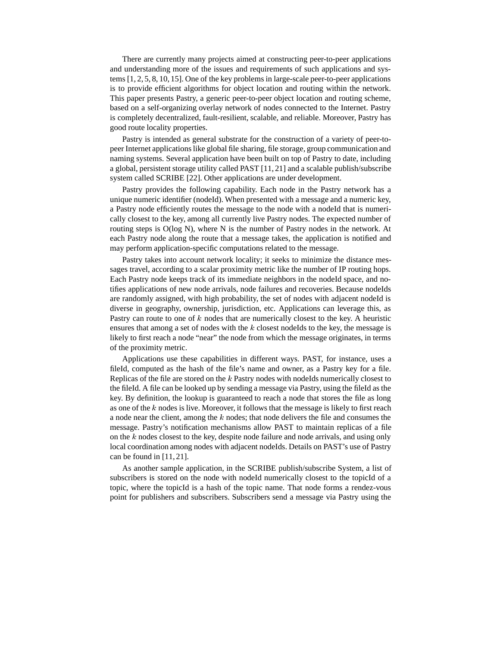There are currently many projects aimed at constructing peer-to-peer applications and understanding more of the issues and requirements of such applications and systems [1, 2, 5, 8, 10, 15]. One of the key problems in large-scale peer-to-peer applications is to provide efficient algorithms for object location and routing within the network. This paper presents Pastry, a generic peer-to-peer object location and routing scheme, based on a self-organizing overlay network of nodes connected to the Internet. Pastry is completely decentralized, fault-resilient, scalable, and reliable. Moreover, Pastry has good route locality properties.

Pastry is intended as general substrate for the construction of a variety of peer-topeer Internet applications like global file sharing, file storage, group communication and naming systems. Several application have been built on top of Pastry to date, including a global, persistent storage utility called PAST [11, 21] and a scalable publish/subscribe system called SCRIBE [22]. Other applications are under development.

Pastry provides the following capability. Each node in the Pastry network has a unique numeric identifier (nodeId). When presented with a message and a numeric key, a Pastry node efficiently routes the message to the node with a nodeId that is numerically closest to the key, among all currently live Pastry nodes. The expected number of routing steps is O(log N), where N is the number of Pastry nodes in the network. At each Pastry node along the route that a message takes, the application is notified and may perform application-specific computations related to the message.

Pastry takes into account network locality; it seeks to minimize the distance messages travel, according to a scalar proximity metric like the number of IP routing hops. Each Pastry node keeps track of its immediate neighbors in the nodeId space, and notifies applications of new node arrivals, node failures and recoveries. Because nodeIds are randomly assigned, with high probability, the set of nodes with adjacent nodeId is diverse in geography, ownership, jurisdiction, etc. Applications can leverage this, as Pastry can route to one of  $k$  nodes that are numerically closest to the key. A heuristic ensures that among a set of nodes with the  $k$  closest nodeIds to the key, the message is likely to first reach a node "near" the node from which the message originates, in terms of the proximity metric.

Applications use these capabilities in different ways. PAST, for instance, uses a fileId, computed as the hash of the file's name and owner, as a Pastry key for a file. Replicas of the file are stored on the <sup>k</sup> Pastry nodes with nodeIds numerically closest to the fileId. A file can be looked up by sending a message via Pastry, using the fileId as the key. By definition, the lookup is guaranteed to reach a node that stores the file as long as one of the  $k$  nodes is live. Moreover, it follows that the message is likely to first reach a node near the client, among the k nodes; that node delivers the file and consumes the message. Pastry's notification mechanisms allow PAST to maintain replicas of a file on the  $k$  nodes closest to the key, despite node failure and node arrivals, and using only local coordination among nodes with adjacent nodeIds. Details on PAST's use of Pastry can be found in  $[11, 21]$ .

As another sample application, in the SCRIBE publish/subscribe System, a list of subscribers is stored on the node with nodeId numerically closest to the topicId of a topic, where the topicId is a hash of the topic name. That node forms a rendez-vous point for publishers and subscribers. Subscribers send a message via Pastry using the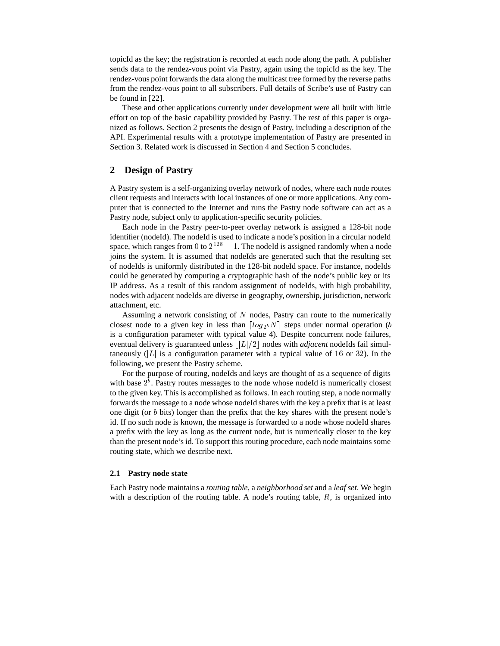topicId as the key; the registration is recorded at each node along the path. A publisher sends data to the rendez-vous point via Pastry, again using the topicId as the key. The rendez-vous point forwards the data along the multicast tree formed by the reverse paths from the rendez-vous point to all subscribers. Full details of Scribe's use of Pastry can be found in [22].

These and other applications currently under development were all built with little effort on top of the basic capability provided by Pastry. The rest of this paper is organized as follows. Section 2 presents the design of Pastry, including a description of the API. Experimental results with a prototype implementation of Pastry are presented in Section 3. Related work is discussed in Section 4 and Section 5 concludes.

## **2 Design of Pastry**

A Pastry system is a self-organizing overlay network of nodes, where each node routes client requests and interacts with local instances of one or more applications. Any computer that is connected to the Internet and runs the Pastry node software can act as a Pastry node, subject only to application-specific security policies.

Each node in the Pastry peer-to-peer overlay network is assigned a 128-bit node identifier (nodeId). The nodeId is used to indicate a node's position in a circular nodeId space, which ranges from 0 to  $2^{128} - 1$ . The nodeId is assigned randomly when a node joins the system. It is assumed that nodeIds are generated such that the resulting set of nodeIds is uniformly distributed in the 128-bit nodeId space. For instance, nodeIds could be generated by computing a cryptographic hash of the node's public key or its IP address. As a result of this random assignment of nodeIds, with high probability, nodes with adjacent nodeIds are diverse in geography, ownership, jurisdiction, network attachment, etc.

Assuming a network consisting of  $N$  nodes, Pastry can route to the numerically closest node to a given key in less than  $\lceil log_{2^b}N \rceil$  steps under normal operation (b) is a configuration parameter with typical value 4). Despite concurrent node failures, eventual delivery is guaranteed unless  $||L||/2||$  nodes with *adjacent* nodeIds fail simultaneously  $(|L|$  is a configuration parameter with a typical value of 16 or 32). In the following, we present the Pastry scheme.

For the purpose of routing, nodeIds and keys are thought of as a sequence of digits with base  $2<sup>b</sup>$ . Pastry routes messages to the node whose nodeId is numerically closest to the given key. This is accomplished as follows. In each routing step, a node normally forwards the message to a node whose nodeId shares with the key a prefix that is at least one digit (or  $b$  bits) longer than the prefix that the key shares with the present node's id. If no such node is known, the message is forwarded to a node whose nodeId shares a prefix with the key as long as the current node, but is numerically closer to the key than the present node's id. To support this routing procedure, each node maintains some routing state, which we describe next.

#### **2.1 Pastry node state**

Each Pastry node maintains a *routing table*, a *neighborhood set* and a *leaf set*. We begin with a description of the routing table. A node's routing table,  $R$ , is organized into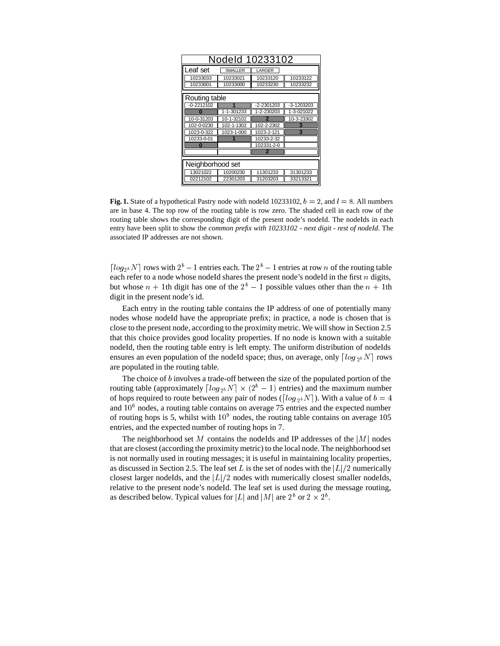| Nodeld 10233102  |                |                |                |
|------------------|----------------|----------------|----------------|
| Leaf set         | <b>SMALLER</b> | LARGER         |                |
| 10233033         | 10233021       | 10233120       | 10233122       |
| 10233001         | 10233000       | 10233230       | 10233232       |
| Routing table    |                |                |                |
| $-0 - 2212102$   |                | $-2 - 2301203$ | $-3 - 1203203$ |
|                  | 1-1-301233     | 1-2-230203     | 1-3-021022     |
| 10-0-31203       | 10-1-32102     |                | 10-3-23302     |
| 102-0-0230       | 102-1-1302     | 102-2-2302     |                |
| 1023-0-322       | 1023-1-000     | 1023-2-121     | 3              |
| 10233-0-01       |                | 10233-2-32     |                |
|                  |                | 102331-2-0     |                |
|                  |                |                |                |
| Neighborhood set |                |                |                |
| 13021022         | 10200230       | 11301233       | 31301233       |
| 02212102         | 22301203       | 31203203       | 33213321       |

**Fig. 1.** State of a hypothetical Pastry node with nodeId 10233102,  $b = 2$ , and  $l = 8$ . All numbers are in base 4. The top row of the routing table is row zero. The shaded cell in each row of the routing table shows the corresponding digit of the present node's nodeId. The nodeIds in each entry have been split to show the *common prefix with 10233102* - *next digit* - *rest of nodeId*. The associated IP addresses are not shown.

 $\lceil log_{2^b} N \rceil$  rows with  $2^b - 1$  entries each. The  $2^b - 1$  entries at row n of the routing table each refer to a node whose nodeId shares the present node's nodeId in the first  $n$  digits, but whose  $n + 1$ th digit has one of the  $2<sup>b</sup> - 1$  possible values other than the  $n + 1$ th digit in the present node's id.

Each entry in the routing table contains the IP address of one of potentially many nodes whose nodeId have the appropriate prefix; in practice, a node is chosen that is close to the present node, according to the proximity metric. We will show in Section 2.5 that this choice provides good locality properties. If no node is known with a suitable nodeId, then the routing table entry is left empty. The uniform distribution of nodeIds ensures an even population of the nodeId space; thus, on average, only  $\lceil log_{2^b} N \rceil$  rows are populated in the routing table.

The choice of <sup>b</sup> involves a trade-off between the size of the populated portion of the routing table (approximately  $\lfloor log_{2^b} N \rfloor \times (2^b - 1)$  entries) and the maximum number of hops required to route between any pair of nodes ( $\lceil \log_{2^b}N \rceil$ ). With a value of  $b = 4$ and  $10<sup>6</sup>$  nodes, a routing table contains on average 75 entries and the expected number of routing hops is 5, whilst with  $10<sup>9</sup>$  nodes, the routing table contains on average 105 entries, and the expected number of routing hops in 7.

The neighborhood set M contains the nodeIds and IP addresses of the  $|M|$  nodes that are closest (according the proximity metric) to the local node. The neighborhood set is not normally used in routing messages; it is useful in maintaining locality properties, as discussed in Section 2.5. The leaf set L is the set of nodes with the  $|L|/2$  numerically closest larger nodeIds, and the  $|L|/2$  nodes with numerically closest smaller nodeIds, relative to the present node's nodeId. The leaf set is used during the message routing, as described below. Typical values for  $|L|$  and  $|M|$  are  $2^b$  or  $2 \times 2^b$ .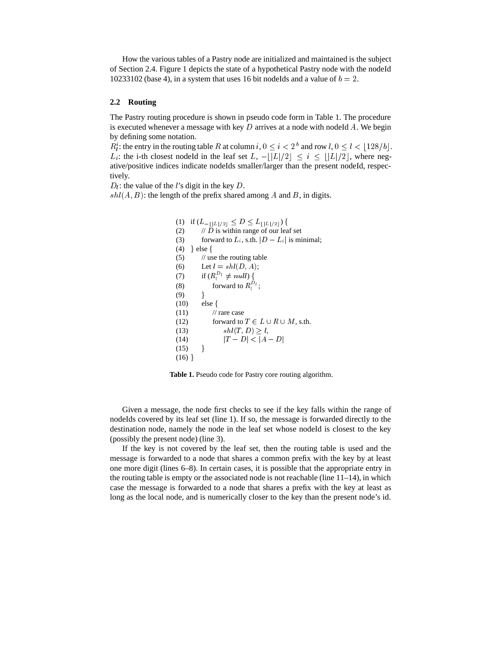How the various tables of a Pastry node are initialized and maintained is the subject of Section 2.4. Figure 1 depicts the state of a hypothetical Pastry node with the nodeId 10233102 (base 4), in a system that uses 16 bit nodeler and a value of  $b = 2$ .

## **2.2 Routing**

The Pastry routing procedure is shown in pseudo code form in Table 1. The procedure is executed whenever a message with key  $D$  arrives at a node with nodeId  $A$ . We begin by defining some notation.

 $R_l^i$ : the entry in the routing table R at column  $i, 0 \le i < 2^b$  and row  $l, 0 \le l < \lfloor 128/b \rfloor$ .  $L_i$ : the i-th closest nodeId in the leaf set  $L$ ,  $-||L||/2|| \leq i \leq ||L||/2||$ , where negative/positive indices indicate nodeIds smaller/larger than the present nodeId, respectively.

 $D_l$ : the value of the l's digit in the key D.

 $shl(A, B)$ : the length of the prefix shared among A and B, in digits.

```
(1) if (L_{-\lfloor |L|/2\rfloor} \leq D \leq L_{\lfloor |L|/2\rfloor}) {
(2) // D is within range of our leaf set
(3) forward to L_i, s.th. |D - L_i| is minimal;
(4) else {
(5) // use the routing table
(6) Let l = shl(D, A);(7) if (R_l^{D_l} \neq null) {
(8) forward to R_l^{D_l};
(9) }
(10) else f
(11) // rare case
(12) forward to T \in L \cup R \cup M, s.th.
(13) shl(T,D) \geq l,(14) |T - D| < |A - D|(15) }
(16)}
```
**Table 1.** Pseudo code for Pastry core routing algorithm.

Given a message, the node first checks to see if the key falls within the range of nodeIds covered by its leaf set (line 1). If so, the message is forwarded directly to the destination node, namely the node in the leaf set whose nodeId is closest to the key (possibly the present node) (line 3).

If the key is not covered by the leaf set, then the routing table is used and the message is forwarded to a node that shares a common prefix with the key by at least one more digit (lines 6–8). In certain cases, it is possible that the appropriate entry in the routing table is empty or the associated node is not reachable (line  $11-14$ ), in which case the message is forwarded to a node that shares a prefix with the key at least as long as the local node, and is numerically closer to the key than the present node's id.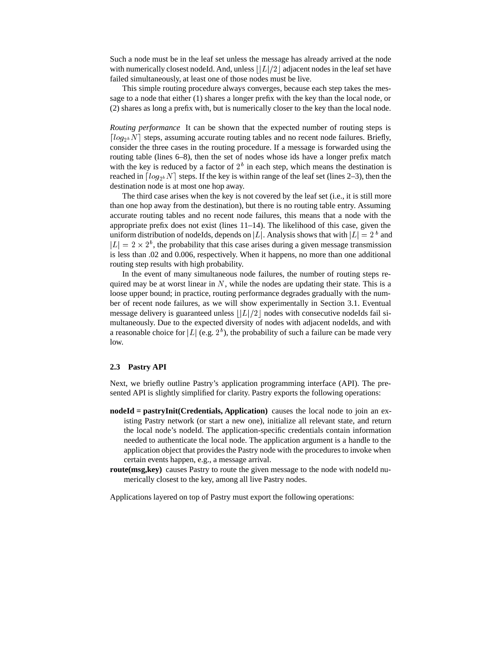Such a node must be in the leaf set unless the message has already arrived at the node with numerically closest nodeId. And, unless  $||L|/2||$  adjacent nodes in the leaf set have failed simultaneously, at least one of those nodes must be live.

This simple routing procedure always converges, because each step takes the message to a node that either (1) shares a longer prefix with the key than the local node, or (2) shares as long a prefix with, but is numerically closer to the key than the local node.

*Routing performance* It can be shown that the expected number of routing steps is  $\lceil log_{2b}N \rceil$  steps, assuming accurate routing tables and no recent node failures. Briefly, consider the three cases in the routing procedure. If a message is forwarded using the routing table (lines 6–8), then the set of nodes whose ids have a longer prefix match with the key is reduced by a factor of  $2<sup>b</sup>$  in each step, which means the destination is reached in  $\lceil log_{2^b}N \rceil$  steps. If the key is within range of the leaf set (lines 2–3), then the destination node is at most one hop away.

The third case arises when the key is not covered by the leaf set (i.e., it is still more than one hop away from the destination), but there is no routing table entry. Assuming accurate routing tables and no recent node failures, this means that a node with the appropriate prefix does not exist (lines 11–14). The likelihood of this case, given the uniform distribution of nodeIds, depends on |L|. Analysis shows that with  $|L| = 2^b$  and  $|L| = 2 \times 2<sup>b</sup>$ , the probability that this case arises during a given message transmission is less than .02 and 0.006, respectively. When it happens, no more than one additional routing step results with high probability.

In the event of many simultaneous node failures, the number of routing steps required may be at worst linear in  $N$ , while the nodes are updating their state. This is a loose upper bound; in practice, routing performance degrades gradually with the number of recent node failures, as we will show experimentally in Section 3.1. Eventual message delivery is guaranteed unless  $||L||/2||$  nodes with consecutive nodeIds fail simultaneously. Due to the expected diversity of nodes with adjacent nodeIds, and with a reasonable choice for  $|L|$  (e.g.  $2<sup>b</sup>$ ), the probability of such a failure can be made very low.

## **2.3 Pastry API**

Next, we briefly outline Pastry's application programming interface (API). The presented API is slightly simplified for clarity. Pastry exports the following operations:

- **nodeId = pastryInit(Credentials, Application)** causes the local node to join an existing Pastry network (or start a new one), initialize all relevant state, and return the local node's nodeId. The application-specific credentials contain information needed to authenticate the local node. The application argument is a handle to the application object that provides the Pastry node with the procedures to invoke when certain events happen, e.g., a message arrival.
- route(msg,key) causes Pastry to route the given message to the node with nodeId numerically closest to the key, among all live Pastry nodes.

Applications layered on top of Pastry must export the following operations: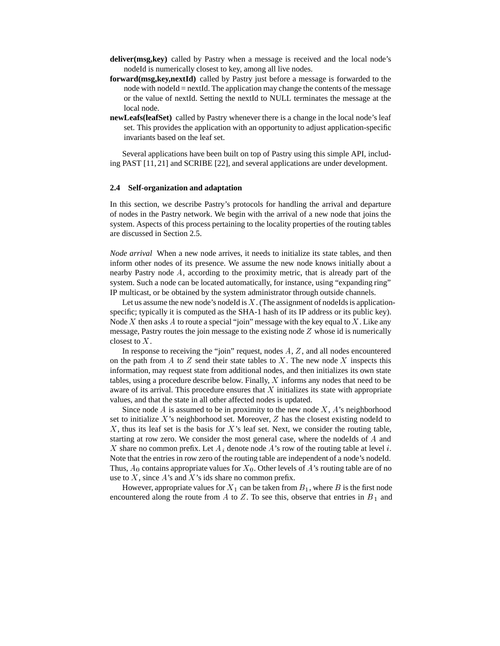- **deliver(msg,key)** called by Pastry when a message is received and the local node's nodeId is numerically closest to key, among all live nodes.
- **forward(msg,key,nextId)** called by Pastry just before a message is forwarded to the node with nodeId  $=$  nextId. The application may change the contents of the message or the value of nextId. Setting the nextId to NULL terminates the message at the local node.
- **newLeafs(leafSet)** called by Pastry whenever there is a change in the local node's leaf set. This provides the application with an opportunity to adjust application-specific invariants based on the leaf set.

Several applications have been built on top of Pastry using this simple API, including PAST [11, 21] and SCRIBE [22], and several applications are under development.

## **2.4 Self-organization and adaptation**

In this section, we describe Pastry's protocols for handling the arrival and departure of nodes in the Pastry network. We begin with the arrival of a new node that joins the system. Aspects of this process pertaining to the locality properties of the routing tables are discussed in Section 2.5.

*Node arrival* When a new node arrives, it needs to initialize its state tables, and then inform other nodes of its presence. We assume the new node knows initially about a nearby Pastry node <sup>A</sup>, according to the proximity metric, that is already part of the system. Such a node can be located automatically, for instance, using "expanding ring" IP multicast, or be obtained by the system administrator through outside channels.

Let us assume the new node's nodeId is  $X$ . (The assignment of nodeIds is applicationspecific; typically it is computed as the SHA-1 hash of its IP address or its public key). Node X then asks A to route a special "join" message with the key equal to X. Like any message, Pastry routes the join message to the existing node  $Z$  whose id is numerically closest to <sup>X</sup>.

In response to receiving the "join" request, nodes A, Z, and all nodes encountered on the path from A to Z send their state tables to X. The new node X inspects this information, may request state from additional nodes, and then initializes its own state tables, using a procedure describe below. Finally, <sup>X</sup> informs any nodes that need to be aware of its arrival. This procedure ensures that  $X$  initializes its state with appropriate values, and that the state in all other affected nodes is updated.

Since node A is assumed to be in proximity to the new node  $X$ ,  $A$ 's neighborhood set to initialize X's neighborhood set. Moreover,  $Z$  has the closest existing nodeId to  $X$ , thus its leaf set is the basis for  $X$ 's leaf set. Next, we consider the routing table, starting at row zero. We consider the most general case, where the nodeIds of  $A$  and X share no common prefix. Let  $A_i$  denote node  $A$ 's row of the routing table at level i. Note that the entries in row zero of the routing table are independent of a node's nodeId. Thus,  $A_0$  contains appropriate values for  $X_0$ . Other levels of A's routing table are of no use to X, since A's and X's ids share no common prefix.

However, appropriate values for  $X_1$  can be taken from  $B_1$ , where B is the first node encountered along the route from  $A$  to  $Z$ . To see this, observe that entries in  $B_1$  and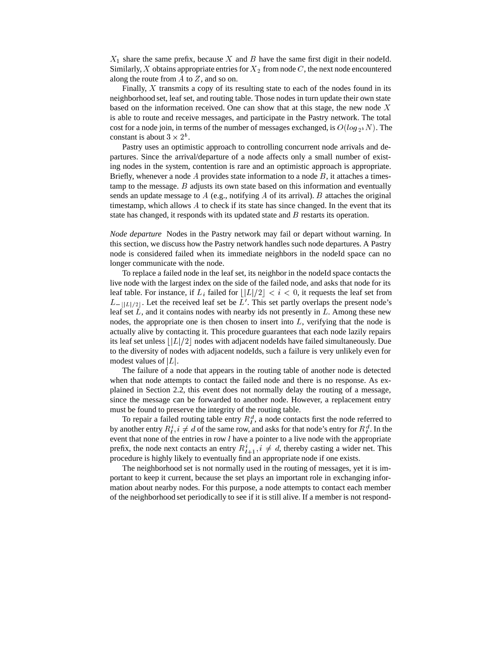$X_1$  share the same prefix, because X and B have the same first digit in their nodeId. Similarly, X obtains appropriate entries for  $X_2$  from node  $C$ , the next node encountered along the route from  $A$  to  $Z$ , and so on.

Finally, <sup>X</sup> transmits a copy of its resulting state to each of the nodes found in its neighborhood set, leaf set, and routing table. Those nodes in turn update their own state based on the information received. One can show that at this stage, the new node  $X$ is able to route and receive messages, and participate in the Pastry network. The total cost for a node join, in terms of the number of messages exchanged, is  $O(log_{2b}N)$ . The constant is about  $3 \times 2^b$ .

Pastry uses an optimistic approach to controlling concurrent node arrivals and departures. Since the arrival/departure of a node affects only a small number of existing nodes in the system, contention is rare and an optimistic approach is appropriate. Briefly, whenever a node A provides state information to a node  $B$ , it attaches a timestamp to the message.  $B$  adjusts its own state based on this information and eventually sends an update message to A (e.g., notifying A of its arrival). B attaches the original timestamp, which allows  $A$  to check if its state has since changed. In the event that its state has changed, it responds with its updated state and B restarts its operation.

*Node departure* Nodes in the Pastry network may fail or depart without warning. In this section, we discuss how the Pastry network handles such node departures. A Pastry node is considered failed when its immediate neighbors in the nodeId space can no longer communicate with the node.

To replace a failed node in the leaf set, its neighbor in the nodeId space contacts the live node with the largest index on the side of the failed node, and asks that node for its leaf table. For instance, if  $L_i$  failed for  $\lfloor |L|/2 \rfloor < i < 0$ , it requests the leaf set from  $L_{-||L||/2||}$ . Let the received leaf set be L'. This set partly overlaps the present node's leaf set  $L$ , and it contains nodes with nearby ids not presently in  $L$ . Among these new nodes, the appropriate one is then chosen to insert into  $L$ , verifying that the node is actually alive by contacting it. This procedure guarantees that each node lazily repairs its leaf set unless  $||L|/2$  nodes with adjacent nodeIds have failed simultaneously. Due to the diversity of nodes with adjacent nodeIds, such a failure is very unlikely even for modest values of  $|L|$ .

The failure of a node that appears in the routing table of another node is detected when that node attempts to contact the failed node and there is no response. As explained in Section 2.2, this event does not normally delay the routing of a message, since the message can be forwarded to another node. However, a replacement entry must be found to preserve the integrity of the routing table.

To repair a failed routing table entry  $R_l^d$ , a node contacts first the node referred to by another entry  $R_l^i$ ,  $i \neq d$  of the same row, and asks for that node's entry for  $R_l^d$ . In the event that none of the entries in row l have a pointer to a live node with the appropriate prefix, the node next contacts an entry  $R_{l+1}^i$ ,  $i \neq d$ , thereby casting a wider net. This procedure is highly likely to eventually find an appropriate node if one exists.

The neighborhood set is not normally used in the routing of messages, yet it is important to keep it current, because the set plays an important role in exchanging information about nearby nodes. For this purpose, a node attempts to contact each member of the neighborhood set periodically to see if it is still alive. If a member is not respond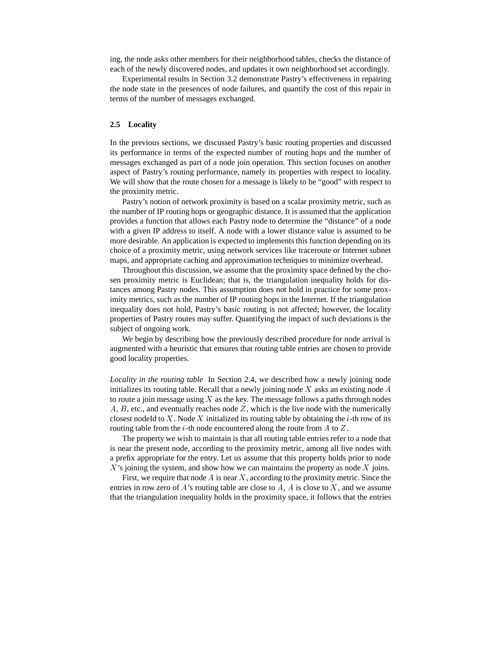ing, the node asks other members for their neighborhood tables, checks the distance of each of the newly discovered nodes, and updates it own neighborhood set accordingly.

Experimental results in Section 3.2 demonstrate Pastry's effectiveness in repairing the node state in the presences of node failures, and quantify the cost of this repair in terms of the number of messages exchanged.

#### **2.5 Locality**

In the previous sections, we discussed Pastry's basic routing properties and discussed its performance in terms of the expected number of routing hops and the number of messages exchanged as part of a node join operation. This section focuses on another aspect of Pastry's routing performance, namely its properties with respect to locality. We will show that the route chosen for a message is likely to be "good" with respect to the proximity metric.

Pastry's notion of network proximity is based on a scalar proximity metric, such as the number of IP routing hops or geographic distance. It is assumed that the application provides a function that allows each Pastry node to determine the "distance" of a node with a given IP address to itself. A node with a lower distance value is assumed to be more desirable. An application is expected to implements this function depending on its choice of a proximity metric, using network services like traceroute or Internet subnet maps, and appropriate caching and approximation techniques to minimize overhead.

Throughout this discussion, we assume that the proximity space defined by the chosen proximity metric is Euclidean; that is, the triangulation inequality holds for distances among Pastry nodes. This assumption does not hold in practice for some proximity metrics, such as the number of IP routing hops in the Internet. If the triangulation inequality does not hold, Pastry's basic routing is not affected; however, the locality properties of Pastry routes may suffer. Quantifying the impact of such deviations is the subject of ongoing work.

We begin by describing how the previously described procedure for node arrival is augmented with a heuristic that ensures that routing table entries are chosen to provide good locality properties.

*Locality in the routing table* In Section 2.4, we described how a newly joining node initializes its routing table. Recall that a newly joining node  $X$  asks an existing node  $A$ to route a join message using  $X$  as the key. The message follows a paths through nodes  $A, B$ , etc., and eventually reaches node  $Z$ , which is the live node with the numerically closest nodeId to X. Node X initialized its routing table by obtaining the  $i$ -th row of its routing table from the *i*-th node encountered along the route from  $\vec{A}$  to  $\vec{Z}$ .

The property we wish to maintain is that all routing table entries refer to a node that is near the present node, according to the proximity metric, among all live nodes with a prefix appropriate for the entry. Let us assume that this property holds prior to node  $X$ 's joining the system, and show how we can maintains the property as node  $X$  joins.

First, we require that node A is near X, according to the proximity metric. Since the entries in row zero of  $A$ 's routing table are close to  $A$ ,  $A$  is close to  $X$ , and we assume that the triangulation inequality holds in the proximity space, it follows that the entries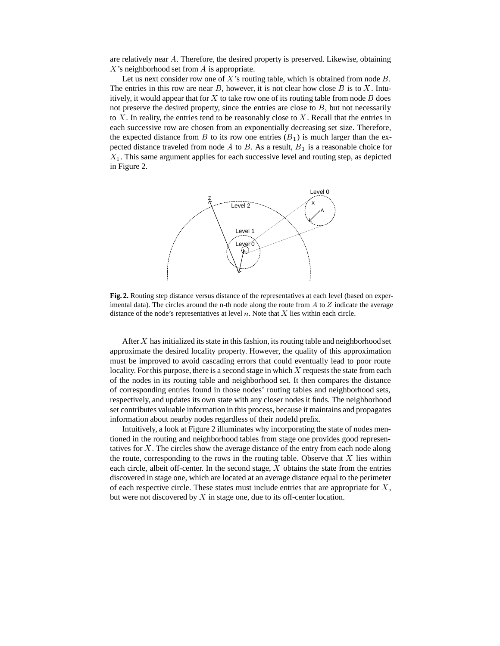are relatively near A. Therefore, the desired property is preserved. Likewise, obtaining X's neighborhood set from A is appropriate.

Let us next consider row one of  $X$ 's routing table, which is obtained from node  $B$ . The entries in this row are near  $B$ , however, it is not clear how close  $B$  is to  $X$ . Intuitively, it would appear that for  $X$  to take row one of its routing table from node  $B$  does not preserve the desired property, since the entries are close to  $B$ , but not necessarily to  $X$ . In reality, the entries tend to be reasonably close to  $X$ . Recall that the entries in each successive row are chosen from an exponentially decreasing set size. Therefore, the expected distance from B to its row one entries  $(B_1)$  is much larger than the expected distance traveled from node  $A$  to  $B$ . As a result,  $B_1$  is a reasonable choice for  $X_1$ . This same argument applies for each successive level and routing step, as depicted in Figure 2.



**Fig. 2.** Routing step distance versus distance of the representatives at each level (based on experimental data). The circles around the n-th node along the route from  $A$  to  $Z$  indicate the average distance of the node's representatives at level  $n$ . Note that  $X$  lies within each circle.

After  $X$  has initialized its state in this fashion, its routing table and neighborhood set approximate the desired locality property. However, the quality of this approximation must be improved to avoid cascading errors that could eventually lead to poor route locality. For this purpose, there is a second stage in which <sup>X</sup> requests the state from each of the nodes in its routing table and neighborhood set. It then compares the distance of corresponding entries found in those nodes' routing tables and neighborhood sets, respectively, and updates its own state with any closer nodes it finds. The neighborhood set contributes valuable information in this process, because it maintains and propagates information about nearby nodes regardless of their nodeId prefix.

Intuitively, a look at Figure 2 illuminates why incorporating the state of nodes mentioned in the routing and neighborhood tables from stage one provides good representatives for  $X$ . The circles show the average distance of the entry from each node along the route, corresponding to the rows in the routing table. Observe that  $X$  lies within each circle, albeit off-center. In the second stage,  $X$  obtains the state from the entries discovered in stage one, which are located at an average distance equal to the perimeter of each respective circle. These states must include entries that are appropriate for  $X$ , but were not discovered by  $X$  in stage one, due to its off-center location.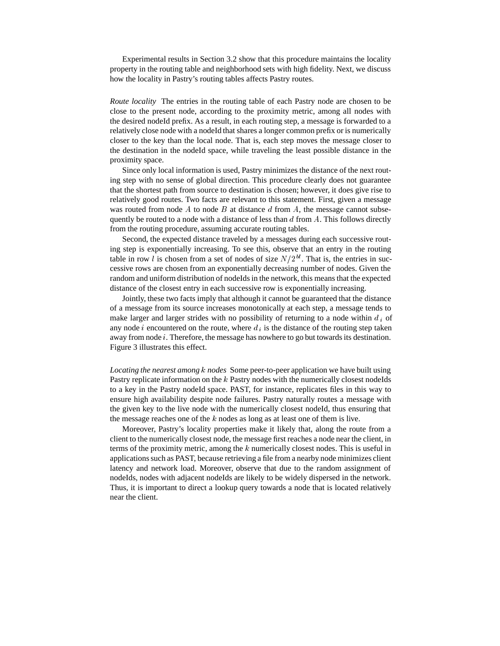Experimental results in Section 3.2 show that this procedure maintains the locality property in the routing table and neighborhood sets with high fidelity. Next, we discuss how the locality in Pastry's routing tables affects Pastry routes.

*Route locality* The entries in the routing table of each Pastry node are chosen to be close to the present node, according to the proximity metric, among all nodes with the desired nodeId prefix. As a result, in each routing step, a message is forwarded to a relatively close node with a nodeId that shares a longer common prefix or is numerically closer to the key than the local node. That is, each step moves the message closer to the destination in the nodeId space, while traveling the least possible distance in the proximity space.

Since only local information is used, Pastry minimizes the distance of the next routing step with no sense of global direction. This procedure clearly does not guarantee that the shortest path from source to destination is chosen; however, it does give rise to relatively good routes. Two facts are relevant to this statement. First, given a message was routed from node  $A$  to node  $B$  at distance  $d$  from  $A$ , the message cannot subsequently be routed to a node with a distance of less than  $d$  from  $A$ . This follows directly from the routing procedure, assuming accurate routing tables.

Second, the expected distance traveled by a messages during each successive routing step is exponentially increasing. To see this, observe that an entry in the routing table in row l is chosen from a set of nodes of size  $N/2^{bl}$ . That is, the entries in successive rows are chosen from an exponentially decreasing number of nodes. Given the random and uniform distribution of nodeIds in the network, this means that the expected distance of the closest entry in each successive row is exponentially increasing.

Jointly, these two facts imply that although it cannot be guaranteed that the distance of a message from its source increases monotonically at each step, a message tends to make larger and larger strides with no possibility of returning to a node within  $d_i$  of any node *i* encountered on the route, where  $d_i$  is the distance of the routing step taken away from node  $i$ . Therefore, the message has nowhere to go but towards its destination. Figure 3 illustrates this effect.

*Locating the nearest among* <sup>k</sup> *nodes* Some peer-to-peer application we have built using Pastry replicate information on the  $k$  Pastry nodes with the numerically closest nodeIds to a key in the Pastry nodeId space. PAST, for instance, replicates files in this way to ensure high availability despite node failures. Pastry naturally routes a message with the given key to the live node with the numerically closest nodeId, thus ensuring that the message reaches one of the  $k$  nodes as long as at least one of them is live.

Moreover, Pastry's locality properties make it likely that, along the route from a client to the numerically closest node, the message first reaches a node near the client, in terms of the proximity metric, among the  $k$  numerically closest nodes. This is useful in applications such as PAST, because retrieving a file from a nearby node minimizes client latency and network load. Moreover, observe that due to the random assignment of nodeIds, nodes with adjacent nodeIds are likely to be widely dispersed in the network. Thus, it is important to direct a lookup query towards a node that is located relatively near the client.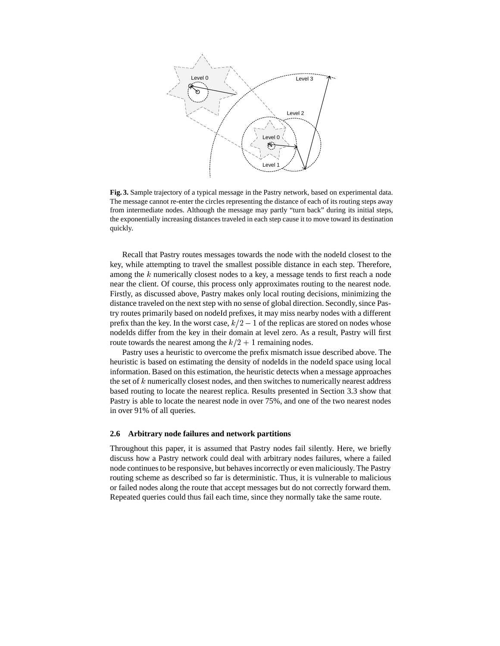

**Fig. 3.** Sample trajectory of a typical message in the Pastry network, based on experimental data. The message cannot re-enter the circles representing the distance of each of its routing steps away from intermediate nodes. Although the message may partly "turn back" during its initial steps, the exponentially increasing distances traveled in each step cause it to move toward its destination quickly.

Recall that Pastry routes messages towards the node with the nodeId closest to the key, while attempting to travel the smallest possible distance in each step. Therefore, among the k numerically closest nodes to a key, a message tends to first reach a node near the client. Of course, this process only approximates routing to the nearest node. Firstly, as discussed above, Pastry makes only local routing decisions, minimizing the distance traveled on the next step with no sense of global direction. Secondly, since Pastry routes primarily based on nodeId prefixes, it may miss nearby nodes with a different prefix than the key. In the worst case,  $k/2 - 1$  of the replicas are stored on nodes whose nodeIds differ from the key in their domain at level zero. As a result, Pastry will first route towards the nearest among the  $k/2+1$  remaining nodes.

Pastry uses a heuristic to overcome the prefix mismatch issue described above. The heuristic is based on estimating the density of nodeIds in the nodeId space using local information. Based on this estimation, the heuristic detects when a message approaches the set of <sup>k</sup> numerically closest nodes, and then switches to numerically nearest address based routing to locate the nearest replica. Results presented in Section 3.3 show that Pastry is able to locate the nearest node in over 75%, and one of the two nearest nodes in over 91% of all queries.

## **2.6 Arbitrary node failures and network partitions**

Throughout this paper, it is assumed that Pastry nodes fail silently. Here, we briefly discuss how a Pastry network could deal with arbitrary nodes failures, where a failed node continues to be responsive, but behaves incorrectly or even maliciously. The Pastry routing scheme as described so far is deterministic. Thus, it is vulnerable to malicious or failed nodes along the route that accept messages but do not correctly forward them. Repeated queries could thus fail each time, since they normally take the same route.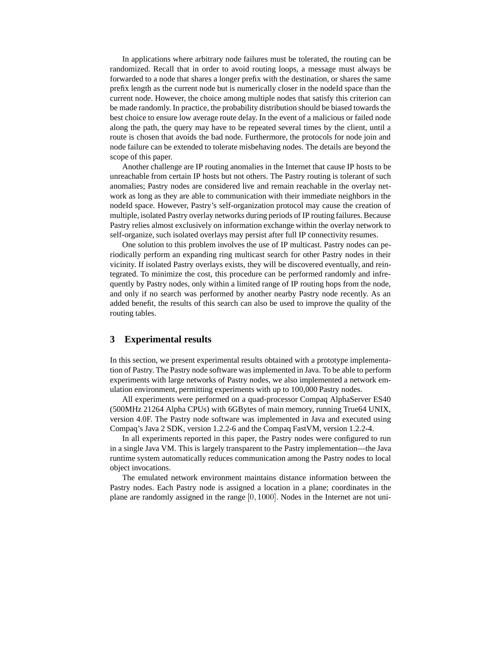In applications where arbitrary node failures must be tolerated, the routing can be randomized. Recall that in order to avoid routing loops, a message must always be forwarded to a node that shares a longer prefix with the destination, or shares the same prefix length as the current node but is numerically closer in the nodeId space than the current node. However, the choice among multiple nodes that satisfy this criterion can be made randomly. In practice, the probability distribution should be biased towards the best choice to ensure low average route delay. In the event of a malicious or failed node along the path, the query may have to be repeated several times by the client, until a route is chosen that avoids the bad node. Furthermore, the protocols for node join and node failure can be extended to tolerate misbehaving nodes. The details are beyond the scope of this paper.

Another challenge are IP routing anomalies in the Internet that cause IP hosts to be unreachable from certain IP hosts but not others. The Pastry routing is tolerant of such anomalies; Pastry nodes are considered live and remain reachable in the overlay network as long as they are able to communication with their immediate neighbors in the nodeId space. However, Pastry's self-organization protocol may cause the creation of multiple, isolated Pastry overlay networks during periods of IP routing failures. Because Pastry relies almost exclusively on information exchange within the overlay network to self-organize, such isolated overlays may persist after full IP connectivity resumes.

One solution to this problem involves the use of IP multicast. Pastry nodes can periodically perform an expanding ring multicast search for other Pastry nodes in their vicinity. If isolated Pastry overlays exists, they will be discovered eventually, and reintegrated. To minimize the cost, this procedure can be performed randomly and infrequently by Pastry nodes, only within a limited range of IP routing hops from the node, and only if no search was performed by another nearby Pastry node recently. As an added benefit, the results of this search can also be used to improve the quality of the routing tables.

## **3 Experimental results**

In this section, we present experimental results obtained with a prototype implementation of Pastry. The Pastry node software was implemented in Java. To be able to perform experiments with large networks of Pastry nodes, we also implemented a network emulation environment, permitting experiments with up to 100,000 Pastry nodes.

All experiments were performed on a quad-processor Compaq AlphaServer ES40 (500MHz 21264 Alpha CPUs) with 6GBytes of main memory, running True64 UNIX, version 4.0F. The Pastry node software was implemented in Java and executed using Compaq's Java 2 SDK, version 1.2.2-6 and the Compaq FastVM, version 1.2.2-4.

In all experiments reported in this paper, the Pastry nodes were configured to run in a single Java VM. This is largely transparent to the Pastry implementation—the Java runtime system automatically reduces communication among the Pastry nodes to local object invocations.

The emulated network environment maintains distance information between the Pastry nodes. Each Pastry node is assigned a location in a plane; coordinates in the plane are randomly assigned in the range  $[0, 1000]$ . Nodes in the Internet are not uni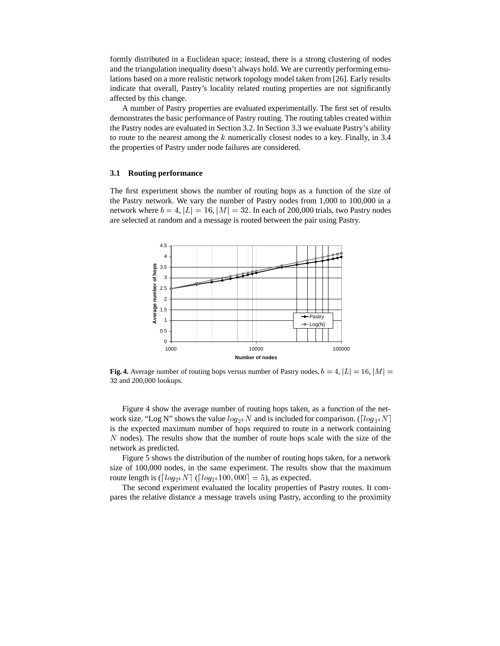formly distributed in a Euclidean space; instead, there is a strong clustering of nodes and the triangulation inequality doesn't always hold. We are currently performing emulations based on a more realistic network topology model taken from [26]. Early results indicate that overall, Pastry's locality related routing properties are not significantly affected by this change.

A number of Pastry properties are evaluated experimentally. The first set of results demonstrates the basic performance of Pastry routing. The routing tables created within the Pastry nodes are evaluated in Section 3.2. In Section 3.3 we evaluate Pastry's ability to route to the nearest among the k numerically closest nodes to a key. Finally, in  $3.4$ the properties of Pastry under node failures are considered.

## **3.1 Routing performance**

The first experiment shows the number of routing hops as a function of the size of the Pastry network. We vary the number of Pastry nodes from 1,000 to 100,000 in a network where  $b = 4$ ,  $|L| = 16$ ,  $|M| = 32$ . In each of 200,000 trials, two Pastry nodes are selected at random and a message is routed between the pair using Pastry.



**Fig. 4.** Average number of routing hops versus number of Pastry nodes,  $b = 4$ ,  $|L| = 16$ ,  $|M| =$ <sup>32</sup> and 200,000 lookups.

Figure 4 show the average number of routing hops taken, as a function of the network size. "Log N" shows the value  $log_{2<sub>b</sub>}N$  and is included for comparison. ([ $log_{2<sub>b</sub>}N$ ] is the expected maximum number of hops required to route in a network containing  $N$  nodes). The results show that the number of route hops scale with the size of the network as predicted.

Figure 5 shows the distribution of the number of routing hops taken, for a network size of 100,000 nodes, in the same experiment. The results show that the maximum route length is  $\left(\left\lfloor \log_{2^b} N \right\rfloor \left( \left\lfloor \log_{2^b} 100, 000 \right\rfloor \right) = 5$ ), as expected.

The second experiment evaluated the locality properties of Pastry routes. It compares the relative distance a message travels using Pastry, according to the proximity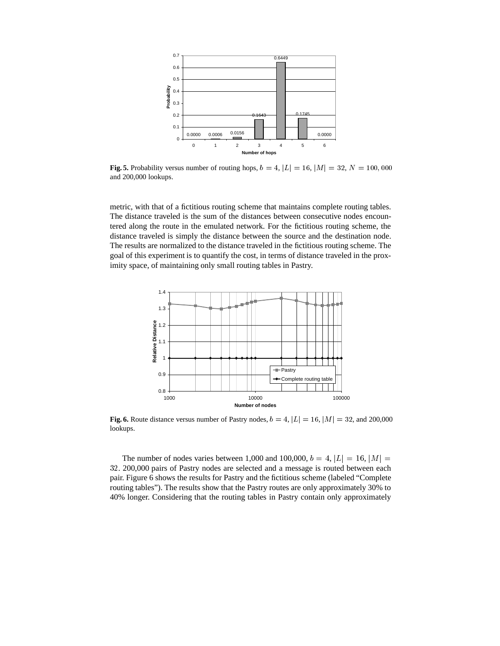

**Fig. 5.** Probability versus number of routing hops,  $b = 4$ ,  $|L| = 16$ ,  $|M| = 32$ ,  $N = 100$ , 000 and 200,000 lookups.

metric, with that of a fictitious routing scheme that maintains complete routing tables. The distance traveled is the sum of the distances between consecutive nodes encountered along the route in the emulated network. For the fictitious routing scheme, the distance traveled is simply the distance between the source and the destination node. The results are normalized to the distance traveled in the fictitious routing scheme. The goal of this experiment is to quantify the cost, in terms of distance traveled in the proximity space, of maintaining only small routing tables in Pastry.



Fig. 6. Route distance versus number of Pastry nodes,  $b = 4$ ,  $|L| = 16$ ,  $|M| = 32$ , and 200,000 lookups.

The number of nodes varies between 1,000 and 100,000,  $b = 4$ ,  $|L| = 16$ ,  $|M|$ <sup>32</sup>. 200,000 pairs of Pastry nodes are selected and a message is routed between each pair. Figure 6 shows the results for Pastry and the fictitious scheme (labeled "Complete routing tables"). The results show that the Pastry routes are only approximately 30% to 40% longer. Considering that the routing tables in Pastry contain only approximately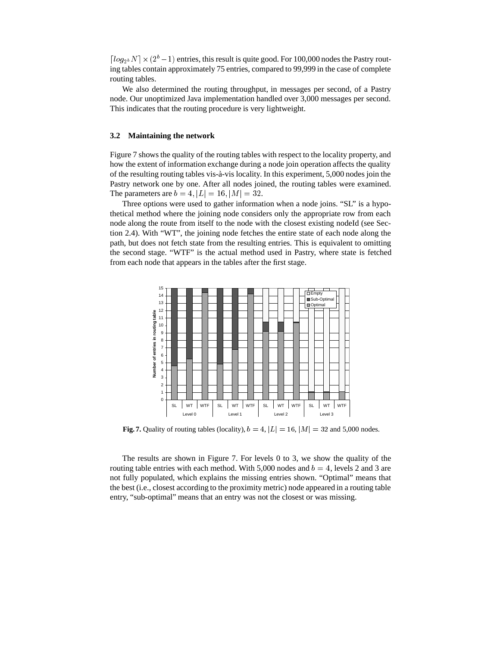$\lceil log_{2^b} N \rceil \times (2^b - 1)$  entries, this result is quite good. For 100,000 nodes the Pastry routing tables contain approximately 75 entries, compared to 99,999 in the case of complete routing tables.

We also determined the routing throughput, in messages per second, of a Pastry node. Our unoptimized Java implementation handled over 3,000 messages per second. This indicates that the routing procedure is very lightweight.

#### **3.2 Maintaining the network**

Figure 7 shows the quality of the routing tables with respect to the locality property, and how the extent of information exchange during a node join operation affects the quality of the resulting routing tables vis- $\lambda$ -vis locality. In this experiment, 5,000 nodes join the Pastry network one by one. After all nodes joined, the routing tables were examined. The parameters are  $b = 4$ ,  $|L| = 16$ ,  $|M| = 32$ .

Three options were used to gather information when a node joins. "SL" is a hypothetical method where the joining node considers only the appropriate row from each node along the route from itself to the node with the closest existing nodeId (see Section 2.4). With "WT", the joining node fetches the entire state of each node along the path, but does not fetch state from the resulting entries. This is equivalent to omitting the second stage. "WTF" is the actual method used in Pastry, where state is fetched from each node that appears in the tables after the first stage.



**Fig. 7.** Quality of routing tables (locality),  $b = 4$ ,  $|L| = 16$ ,  $|M| = 32$  and 5,000 nodes.

The results are shown in Figure 7. For levels 0 to 3, we show the quality of the routing table entries with each method. With 5,000 nodes and  $b = 4$ , levels 2 and 3 are not fully populated, which explains the missing entries shown. "Optimal" means that the best (i.e., closest according to the proximity metric) node appeared in a routing table entry, "sub-optimal" means that an entry was not the closest or was missing.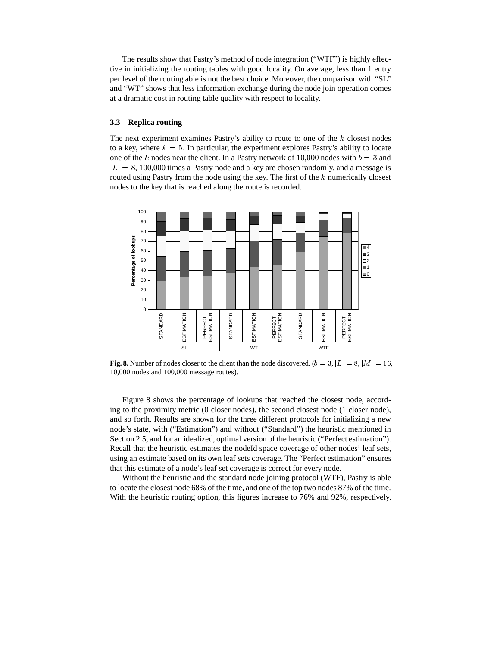The results show that Pastry's method of node integration ("WTF") is highly effective in initializing the routing tables with good locality. On average, less than 1 entry per level of the routing able is not the best choice. Moreover, the comparison with "SL" and "WT" shows that less information exchange during the node join operation comes at a dramatic cost in routing table quality with respect to locality.

#### **3.3 Replica routing**

The next experiment examines Pastry's ability to route to one of the  $k$  closest nodes to a key, where  $k = 5$ . In particular, the experiment explores Pastry's ability to locate one of the k nodes near the client. In a Pastry network of 10,000 nodes with  $b = 3$  and  $|L| = 8$ , 100,000 times a Pastry node and a key are chosen randomly, and a message is routed using Pastry from the node using the key. The first of the  $k$  numerically closest nodes to the key that is reached along the route is recorded.



**Fig. 8.** Number of nodes closer to the client than the node discovered.  $(b = 3, |L| = 8, |M| = 16$ , 10,000 nodes and 100,000 message routes).

Figure 8 shows the percentage of lookups that reached the closest node, according to the proximity metric (0 closer nodes), the second closest node (1 closer node), and so forth. Results are shown for the three different protocols for initializing a new node's state, with ("Estimation") and without ("Standard") the heuristic mentioned in Section 2.5, and for an idealized, optimal version of the heuristic ("Perfect estimation"). Recall that the heuristic estimates the nodeId space coverage of other nodes' leaf sets, using an estimate based on its own leaf sets coverage. The "Perfect estimation" ensures that this estimate of a node's leaf set coverage is correct for every node.

Without the heuristic and the standard node joining protocol (WTF), Pastry is able to locate the closest node 68% of the time, and one of the top two nodes 87% of the time. With the heuristic routing option, this figures increase to 76% and 92%, respectively.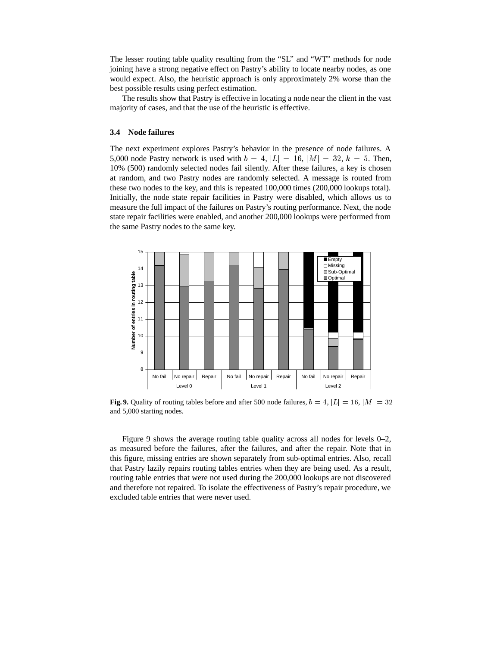The lesser routing table quality resulting from the "SL" and "WT" methods for node joining have a strong negative effect on Pastry's ability to locate nearby nodes, as one would expect. Also, the heuristic approach is only approximately 2% worse than the best possible results using perfect estimation.

The results show that Pastry is effective in locating a node near the client in the vast majority of cases, and that the use of the heuristic is effective.

#### **3.4 Node failures**

The next experiment explores Pastry's behavior in the presence of node failures. A 5,000 node Pastry network is used with  $b = 4$ ,  $|L| = 16$ ,  $|M| = 32$ ,  $k = 5$ . Then, 10% (500) randomly selected nodes fail silently. After these failures, a key is chosen at random, and two Pastry nodes are randomly selected. A message is routed from these two nodes to the key, and this is repeated 100,000 times (200,000 lookups total). Initially, the node state repair facilities in Pastry were disabled, which allows us to measure the full impact of the failures on Pastry's routing performance. Next, the node state repair facilities were enabled, and another 200,000 lookups were performed from the same Pastry nodes to the same key.



**Fig. 9.** Quality of routing tables before and after 500 node failures,  $b = 4$ ,  $|L| = 16$ ,  $|M| = 32$ and 5,000 starting nodes.

Figure 9 shows the average routing table quality across all nodes for levels 0–2, as measured before the failures, after the failures, and after the repair. Note that in this figure, missing entries are shown separately from sub-optimal entries. Also, recall that Pastry lazily repairs routing tables entries when they are being used. As a result, routing table entries that were not used during the 200,000 lookups are not discovered and therefore not repaired. To isolate the effectiveness of Pastry's repair procedure, we excluded table entries that were never used.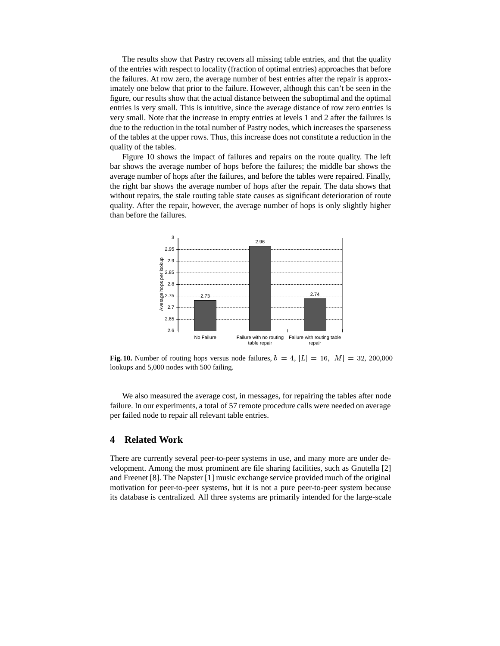The results show that Pastry recovers all missing table entries, and that the quality of the entries with respect to locality (fraction of optimal entries) approaches that before the failures. At row zero, the average number of best entries after the repair is approximately one below that prior to the failure. However, although this can't be seen in the figure, our results show that the actual distance between the suboptimal and the optimal entries is very small. This is intuitive, since the average distance of row zero entries is very small. Note that the increase in empty entries at levels 1 and 2 after the failures is due to the reduction in the total number of Pastry nodes, which increases the sparseness of the tables at the upper rows. Thus, this increase does not constitute a reduction in the quality of the tables.

Figure 10 shows the impact of failures and repairs on the route quality. The left bar shows the average number of hops before the failures; the middle bar shows the average number of hops after the failures, and before the tables were repaired. Finally, the right bar shows the average number of hops after the repair. The data shows that without repairs, the stale routing table state causes as significant deterioration of route quality. After the repair, however, the average number of hops is only slightly higher than before the failures.



**Fig. 10.** Number of routing hops versus node failures,  $b = 4$ ,  $|L| = 16$ ,  $|M| = 32$ , 200,000 lookups and 5,000 nodes with 500 failing.

We also measured the average cost, in messages, for repairing the tables after node failure. In our experiments, a total of 57 remote procedure calls were needed on average per failed node to repair all relevant table entries.

# **4 Related Work**

There are currently several peer-to-peer systems in use, and many more are under development. Among the most prominent are file sharing facilities, such as Gnutella [2] and Freenet [8]. The Napster [1] music exchange service provided much of the original motivation for peer-to-peer systems, but it is not a pure peer-to-peer system because its database is centralized. All three systems are primarily intended for the large-scale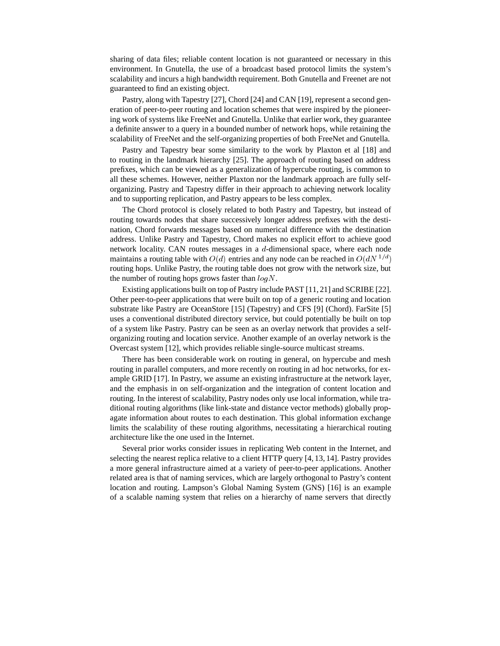sharing of data files; reliable content location is not guaranteed or necessary in this environment. In Gnutella, the use of a broadcast based protocol limits the system's scalability and incurs a high bandwidth requirement. Both Gnutella and Freenet are not guaranteed to find an existing object.

Pastry, along with Tapestry [27], Chord [24] and CAN [19], represent a second generation of peer-to-peer routing and location schemes that were inspired by the pioneering work of systems like FreeNet and Gnutella. Unlike that earlier work, they guarantee a definite answer to a query in a bounded number of network hops, while retaining the scalability of FreeNet and the self-organizing properties of both FreeNet and Gnutella.

Pastry and Tapestry bear some similarity to the work by Plaxton et al [18] and to routing in the landmark hierarchy [25]. The approach of routing based on address prefixes, which can be viewed as a generalization of hypercube routing, is common to all these schemes. However, neither Plaxton nor the landmark approach are fully selforganizing. Pastry and Tapestry differ in their approach to achieving network locality and to supporting replication, and Pastry appears to be less complex.

The Chord protocol is closely related to both Pastry and Tapestry, but instead of routing towards nodes that share successively longer address prefixes with the destination, Chord forwards messages based on numerical difference with the destination address. Unlike Pastry and Tapestry, Chord makes no explicit effort to achieve good network locality. CAN routes messages in a <sup>d</sup>-dimensional space, where each node maintains a routing table with  $O(d)$  entries and any node can be reached in  $O(dN^{1/d})$ routing hops. Unlike Pastry, the routing table does not grow with the network size, but the number of routing hops grows faster than  $log N$ .

Existing applications built on top of Pastry include PAST [11, 21] and SCRIBE [22]. Other peer-to-peer applications that were built on top of a generic routing and location substrate like Pastry are OceanStore [15] (Tapestry) and CFS [9] (Chord). FarSite [5] uses a conventional distributed directory service, but could potentially be built on top of a system like Pastry. Pastry can be seen as an overlay network that provides a selforganizing routing and location service. Another example of an overlay network is the Overcast system [12], which provides reliable single-source multicast streams.

There has been considerable work on routing in general, on hypercube and mesh routing in parallel computers, and more recently on routing in ad hoc networks, for example GRID [17]. In Pastry, we assume an existing infrastructure at the network layer, and the emphasis in on self-organization and the integration of content location and routing. In the interest of scalability, Pastry nodes only use local information, while traditional routing algorithms (like link-state and distance vector methods) globally propagate information about routes to each destination. This global information exchange limits the scalability of these routing algorithms, necessitating a hierarchical routing architecture like the one used in the Internet.

Several prior works consider issues in replicating Web content in the Internet, and selecting the nearest replica relative to a client HTTP query [4, 13, 14]. Pastry provides a more general infrastructure aimed at a variety of peer-to-peer applications. Another related area is that of naming services, which are largely orthogonal to Pastry's content location and routing. Lampson's Global Naming System (GNS) [16] is an example of a scalable naming system that relies on a hierarchy of name servers that directly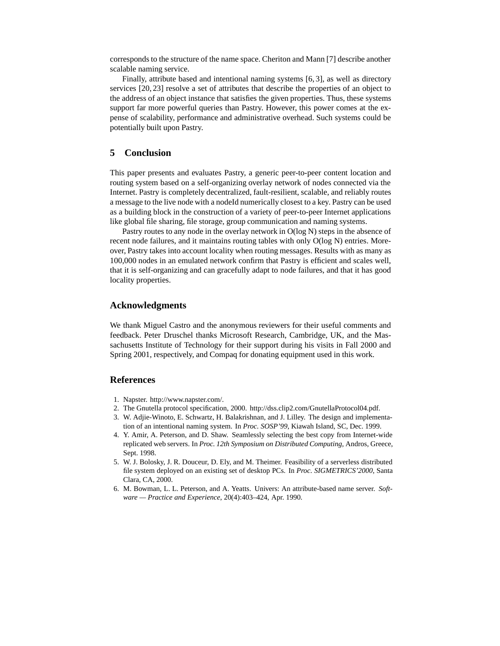corresponds to the structure of the name space. Cheriton and Mann [7] describe another scalable naming service.

Finally, attribute based and intentional naming systems [6, 3], as well as directory services [20, 23] resolve a set of attributes that describe the properties of an object to the address of an object instance that satisfies the given properties. Thus, these systems support far more powerful queries than Pastry. However, this power comes at the expense of scalability, performance and administrative overhead. Such systems could be potentially built upon Pastry.

## **5 Conclusion**

This paper presents and evaluates Pastry, a generic peer-to-peer content location and routing system based on a self-organizing overlay network of nodes connected via the Internet. Pastry is completely decentralized, fault-resilient, scalable, and reliably routes a message to the live node with a nodeId numerically closest to a key. Pastry can be used as a building block in the construction of a variety of peer-to-peer Internet applications like global file sharing, file storage, group communication and naming systems.

Pastry routes to any node in the overlay network in O(log N) steps in the absence of recent node failures, and it maintains routing tables with only O(log N) entries. Moreover, Pastry takes into account locality when routing messages. Results with as many as 100,000 nodes in an emulated network confirm that Pastry is efficient and scales well, that it is self-organizing and can gracefully adapt to node failures, and that it has good locality properties.

## **Acknowledgments**

We thank Miguel Castro and the anonymous reviewers for their useful comments and feedback. Peter Druschel thanks Microsoft Research, Cambridge, UK, and the Massachusetts Institute of Technology for their support during his visits in Fall 2000 and Spring 2001, respectively, and Compaq for donating equipment used in this work.

## **References**

- 1. Napster. http://www.napster.com/.
- 2. The Gnutella protocol specification, 2000. http://dss.clip2.com/GnutellaProtocol04.pdf.
- 3. W. Adjie-Winoto, E. Schwartz, H. Balakrishnan, and J. Lilley. The design and implementation of an intentional naming system. In *Proc. SOSP'99*, Kiawah Island, SC, Dec. 1999.
- 4. Y. Amir, A. Peterson, and D. Shaw. Seamlessly selecting the best copy from Internet-wide replicated web servers. In *Proc. 12th Symposium on Distributed Computing*, Andros, Greece, Sept. 1998.
- 5. W. J. Bolosky, J. R. Douceur, D. Ely, and M. Theimer. Feasibility of a serverless distributed file system deployed on an existing set of desktop PCs. In *Proc. SIGMETRICS'2000*, Santa Clara, CA, 2000.
- 6. M. Bowman, L. L. Peterson, and A. Yeatts. Univers: An attribute-based name server. *Software — Practice and Experience*, 20(4):403–424, Apr. 1990.